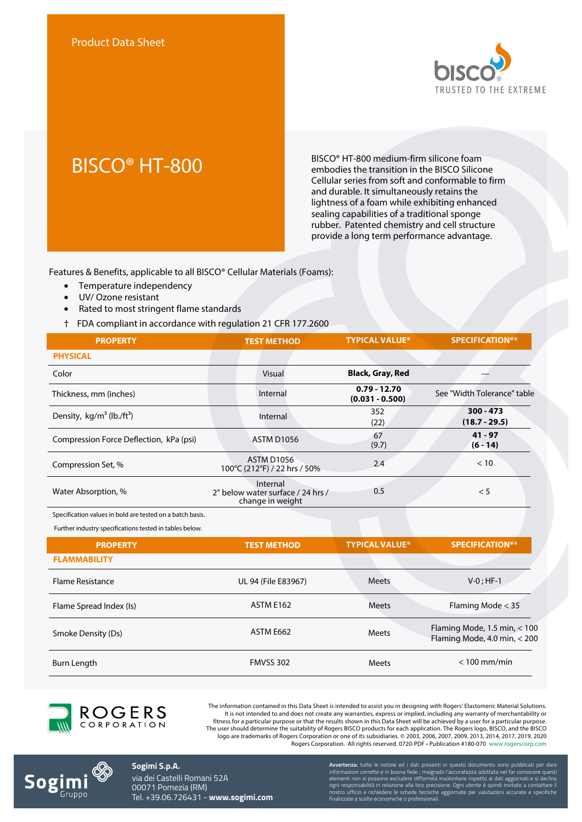

# BISCO® HT-800

BISCO® HT-800 medium-firm silicone foam embodies the transition in the BISCO Silicone Cellular series from soft and conformable to firm and durable. It simultaneously retains the lightness of a foam while exhibiting enhanced sealing capabilities of a traditional sponge rubber. Patented chemistry and cell structure provide a long term performance advantage.

Features & Benefits, applicable to all BISCO® Cellular Materials (Foams):

- Temperature independency
- UV/ Ozone resistant
- Rated to most stringent flame standards
- † FDA compliant in accordance with regulation 21 CFR 177.2600

| <b>PROPERTY</b>                          | <b>TEST METHOD</b>                                                | <b>TYPICAL VALUE*</b>               | <b>SPECIFICATION**</b>         |
|------------------------------------------|-------------------------------------------------------------------|-------------------------------------|--------------------------------|
| <b>PHYSICAL</b>                          |                                                                   |                                     |                                |
| Color                                    | Visual                                                            | <b>Black, Gray, Red</b>             |                                |
| Thickness, mm (inches)                   | Internal                                                          | $0.79 - 12.70$<br>$(0.031 - 0.500)$ | See "Width Tolerance" table    |
| Density, $kg/m^3$ (lb./ft <sup>3</sup> ) | Internal                                                          | 352<br>(22)                         | $300 - 473$<br>$(18.7 - 29.5)$ |
| Compression Force Deflection, kPa (psi)  | ASTM D1056                                                        | 67<br>(9.7)                         | $41 - 97$<br>$(6 - 14)$        |
| Compression Set, %                       | <b>ASTM D1056</b><br>100°C (212°F) / 22 hrs / 50%                 | 2.4                                 | < 10                           |
| Water Absorption, %                      | Internal<br>2" below water surface / 24 hrs /<br>change in weight | 0.5                                 | < 5                            |

Specification values in bold are tested on a batch basis.

Further industry specifications tested in tables below.

| <b>PROPERTY</b>         | <b>TEST METHOD</b>  | <b>TYPICAL VALUE*</b> | <b>SPECIFICATION**</b>                                         |
|-------------------------|---------------------|-----------------------|----------------------------------------------------------------|
| <b>FLAMMABILITY</b>     |                     |                       |                                                                |
| <b>Flame Resistance</b> | UL 94 (File E83967) | <b>Meets</b>          | $V-0$ ; HF-1                                                   |
| Flame Spread Index (Is) | ASTM E162           | <b>Meets</b>          | Flaming Mode $<$ 35                                            |
| Smoke Density (Ds)      | ASTM E662           | <b>Meets</b>          | Flaming Mode, 1.5 min, $<$ 100<br>Flaming Mode, 4.0 min, < 200 |
| Burn Length             | FMVSS 302           | Meets                 | $< 100$ mm/min                                                 |



The information contained in this Data Sheet is intended to assist you in designing with Rogers' Elastomeric Material Solutions. It is not intended to and does not create any warranties, express or implied, including any warranty of merchantability or<br>fitness for a particular purpose or that the results shown in this Data Sheet will be achieved by a The user should determine the suitability of Rogers BISCO products for each application. The Rogers logo, BISCO, and the BISCO logo are trademarks of Rogers Corporation or one of its subsidiaries. © 2003, 2006, 2007, 2009, 2013, 2014, 2017, 2019, 2020 Rogers Corporation. All rights reserved. 0720-PDF • Publication #180-070 www.rogerscorp.com



**Sogimi S.p.A.** via dei Castelli Romani 52A 00071 Pomezia (RM) Tel. +39.06.726431 - **www.sogimi.com** **Avvertenza:** tutte le notizie ed i dati presenti in questo documento sono pubblicati per dare informazioni corrette e in buona fede ; malgrado l'accuratezza adottata nel far conoscere questi elementi non si possono escludere difformità involontarie rispetto ai dati aggiornati e si declina ogni responsabilità in relazione alla loro precisione. Ogni utente è quindi invitato a contattare il nostro ufficio e richiedere le schede tecniche aggiornate per valutazioni accurate e specifiche finalizzate a scelte economiche o professionali.